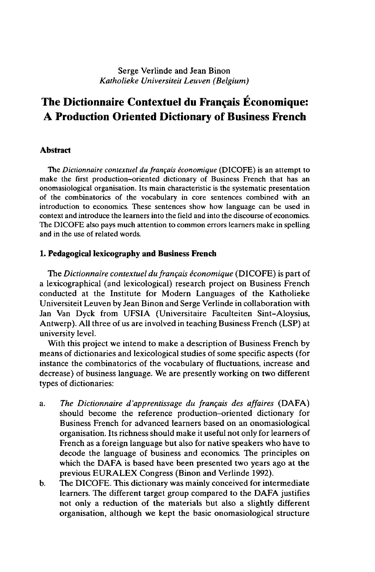# **The Dictionnaire Contextuel du Français Économique: A Production Oriented Dictionary of Business French**

### **Abstract**

The *Dictionnaire contextuel du français économique* (DICOFE) is an attempt to make the first production-oriented dictionary of Business French that has an onomasiological organisation. Its main characteristic is the systematic presentation of the combinatorics of the vocabulary in core sentences combined with an introduction to economics. These sentences show how language can be used in context and introduce the learners into the field and into the discourse of economics. The DICOFE also pays much attention to common errors learners make in spelling and in the use of related words.

### **1. Pedagogical lexicography and Business French**

The *Dictionnaire contextuel du français économique* (DICOFE) is part of a lexicographical (and lexicological) research project on Business French conducted at the Institute for Modern Languages of the Katholieke Universiteit Leuven by Jean Binon and Serge Verlinde in collaboration with Jan Van Dyck from UFSIA (Universitaire Faculteiten Sint-Aloysius, Antwerp). All three of us are involved in teaching Business French (LSP) at university level.

With this project we intend to make a description of Business French by means of dictionaries and lexicological studies of some specific aspects (for instance the combinatorics of the vocabulary of fluctuations, increase and decrease) of business language. We are presently working on two different types of dictionaries:

- a. *The Dictionnaire d'apprentissage du français des affaires* (DAFA) should become the reference production-oriented dictionary for Business French for advanced learners based on an onomasiological organisation. Its richness should make it useful not only for learners of French as a foreign language but also for native speakers who have to decode the language of business and economics. The principles on which the DAFA is based have been presented two years ago at the previous EURALEX Congress (Binon and Verlinde 1992).
- b. The DICOFE. This dictionary was mainly conceived for intermediate learners. The different target group compared to the DAFA justifies not only a reduction of the materials but also a slightly different organisation, although we kept the basic onomasiological structure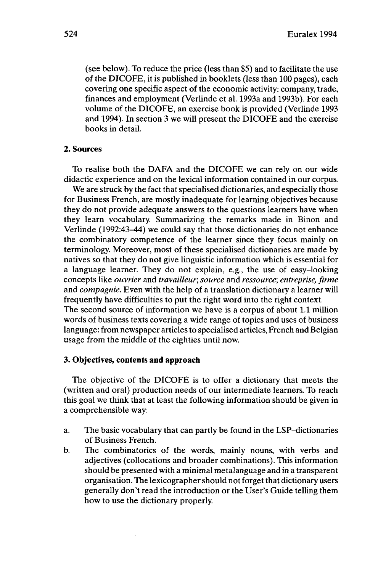(see below). To reduce the price (less than \$5) and to facilitate the use of the DICOFE, it is published in booklets (less than 100 pages), each covering one specific aspect of the economic activity: company, trade, finances and employment (Verlinde et al. 1993a and 1993b). For each volume of the DICOFE, an exercise book is provided (Verlinde 1993 and 1994). In section 3 we will present the DICOFE and the exercise books in detail.

#### **2. Sources**

To realise both the DAFA and the DICOFE we can rely on our wide didactic experience and on the lexical information contained in our corpus.

We are struck by the fact that specialised dictionaries, and especially those for Business French, are mostly inadequate for learning objectives because they do not provide adequate answers to the questions learners have when they learn vocabulary. Summarizing the remarks made in Binon and Verlinde (1992:43-44) we could say that those dictionaries do not enhance the combinatory competence of the learner since they focus mainly on terminology. Moreover, most of these specialised dictionaries are made by natives so that they do not give linguistic information which is essential for a language learner. They do not explain, e.g., the use of easy-looking concepts like *ouvrier* and *travailleur, source* and *ressource; entreprise, firme* and *compagnie.* Even with the help of a translation dictionary a learner will frequently have difficulties to put the right word into the right context. The second source of information we have is a corpus of about 1.1 million words of business texts covering a wide range of topics and uses of business language: from newspaper articles to specialised articles, French and Belgian usage from the middle of the eighties until now.

#### **3. Objectives, contents and approach**

The objective of the DICOFE is to offer a dictionary that meets the (written and oral) production needs of our intermediate learners. To reach this goal we think that at least the following information should be given in a comprehensible way:

- a. The basic vocabulary that can partly be found in the LSP-dictionaries of Business French.
- b. The combinatorics of the words, mainly nouns, with verbs and adjectives (collocations and broader combinations). This information should be presented with a minimal metalanguage and in a transparent organisation. The lexicographer should not forget that dictionary users generally don't read the introduction or the User's Guide telling them how to use the dictionary properly.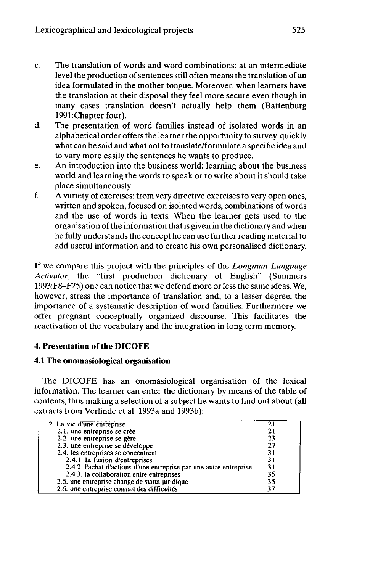- c. The translation of words and word combinations: at an intermediate level the production of sentences still often means the translation of an idea formulated in the mother tongue. Moreover, when learners have the translation at their disposal they feel more secure even though in many cases translation doesn't actually help them (Battenburg 1991:Chapter four).
- d. The presentation of word families instead of isolated words in an alphabetical order offers the learner the opportunity to survey quickly what can be said and what not to translate/formulate a specific idea and to vary more easily the sentences he wants to produce.
- e. An introduction into the business world: learning about the business world and learning the words to speak or to write about it should take place simultaneously.
- f. A variety of exercises: from very directive exercises to very open ones, written and spoken, focused on isolated words, combinations of words and the use of words in texts. When the learner gets used to the organisation of the information that is given in the dictionary and when he fully understands the concept he can use further reading material to add useful information and to create his own personalised dictionary.

If we compare this project with the principles of the *Longman Language Activator,* the "first production dictionary of English" (Summers 1993:F8-F25) one can notice that we defend more or less the same ideas. We, however, stress the importance of translation and, to a lesser degree, the importance of a systematic description of word families. Furthermore we offer pregnant conceptually organized discourse. This facilitates the reactivation of the vocabulary and the integration in long term memory.

## **4. Presentation of the DICOFE**

### **4.1 The onomasiological organisation**

The DICOFE has an onomasiological organisation of the lexical information. The learner can enter the dictionary by means of the table of contents, thus making a selection of a subject he wants to find out about (all extracts from Verlinde et al. 1993a and 1993b):

| 2. La vie d'une entreprise                                         |    |
|--------------------------------------------------------------------|----|
| 2.1. une entreprise se crée                                        |    |
| 2.2. une entreprise se gère                                        | 23 |
| 2.3. une entreprise se développe                                   | 27 |
| 2.4. les entreprises se concentrent                                | 31 |
| 2.4.1. la fusion d'entreprises                                     | 31 |
| 2.4.2. l'achat d'actions d'une entreprise par une autre entreprise | 31 |
| 2.4.3. la collaboration entre entreprises                          | 35 |
| 2.5. une entreprise change de statut juridique                     | 35 |
| 2.6. une entreprise connaît des difficultés                        | 37 |
|                                                                    |    |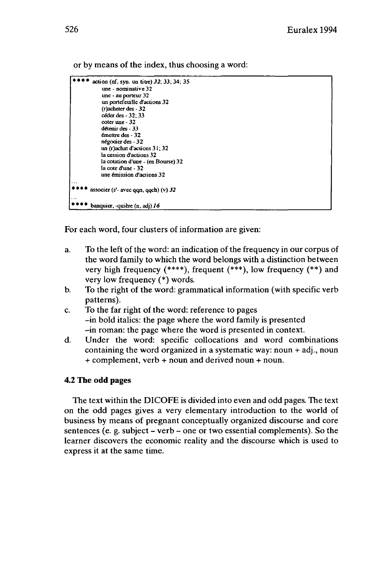or by means of the index, thus choosing a word:

```
* * * * action (nf, syn. un titre) 32; 33; 34; 35
            une - nominative 32
            une - au porteur 32
            un portefeuille d'actions 32
            (racheter des - 32
            céder des-32; 33
            coter une - 32
            détenir des-33
            émettre des - 32
            négocier des-32
            un (r)achat d'actions 31 ; 32
            la cession d'actions 32
            la cotation d'une - (en Bourse) 32
            la cote d'une - 32
            une émission d'actions 32
* * * * associer (s'- avec qqn, qqch) (v) 32
   **** banquier, -quière (n, adj) J6
```
For each word, four clusters of information are given:

- a. To the left of the word: an indication of the frequency in our corpus of the word family to which the word belongs with a distinction between very high frequency (\*\*\*\*), frequent (\*\*\*), low frequency (\*\*) and very low frequency (\*) words.
- b. To the right of the word: grammatical information (with specific verb patterns).
- c. To the far right of the word: reference to pages -in bold italics: the page where the word family is presented -in roman: the page where the word is presented in context.
- d. Under the word: specific collocations and word combinations containing the word organized in a systematic way: noun  $+$  adj., noun + complement, verb + noun and derived noun + noun.

### **4.2 The odd pages**

The text within the DICOFE is divided into even and odd pages. The text on the odd pages gives a very elementary introduction to the world of business by means of pregnant conceptually organized discourse and core sentences (e. g. subject – verb – one or two essential complements). So the learner discovers the economic reality and the discourse which is used to express it at the same time.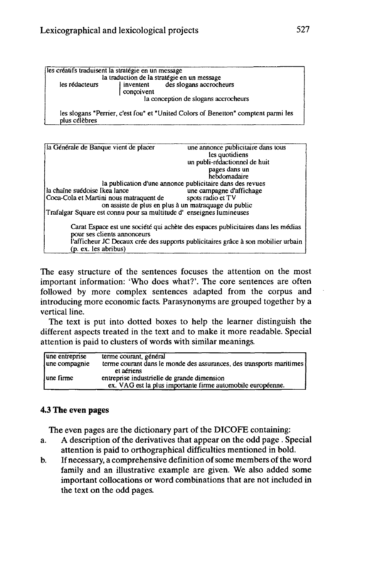| les créatifs traduisent la stratégie en un message |            | la traduction de la stratégie en un message                                        |
|----------------------------------------------------|------------|------------------------------------------------------------------------------------|
| les rédacteurs                                     | concoivent | inventent des slogans accrocheurs                                                  |
|                                                    |            | la conception de slogans accrocheurs                                               |
| plus célèbres                                      |            | les slogans "Perrier, c'est fou" et "United Colors of Benetton" comptent parmi les |

| la Générale de Banque vient de placer                               | une annonce publicitaire dans tous<br>les quotidiens                              |
|---------------------------------------------------------------------|-----------------------------------------------------------------------------------|
|                                                                     |                                                                                   |
|                                                                     | un publi-rédactionnel de huit                                                     |
|                                                                     | pages dans un                                                                     |
|                                                                     | hebdomadaire                                                                      |
|                                                                     | la publication d'une annonce publicitaire dans des revues                         |
| la chaîne suédoise Ikea lance                                       | une campagne d'affichage                                                          |
| Coca-Cola et Martini nous matraquent de                             | spots radio et TV                                                                 |
| on assiste de plus en plus à un matraquage du public                |                                                                                   |
| Trafalgar Square est connu pour sa multitude d'enseignes lumineuses |                                                                                   |
|                                                                     | Carat Espace est une société qui achète des espaces publicitaires dans les médias |
| pour ses clients annonceurs                                         |                                                                                   |
|                                                                     |                                                                                   |
|                                                                     | l'afficheur JC Decaux crée des supports publicitaires grâce à son mobilier urbain |
| (p. ex. les abribus)                                                |                                                                                   |

The easy structure of the sentences focuses the attention on the most important information: 'Who does what?'. The core sentences are often followed by more complex sentences adapted from the corpus and introducing more economic facts. Parasynonyms are grouped together by a vertical line.

The text is put into dotted boxes to help the learner distinguish the different aspects treated in the text and to make it more readable. Special attention is paid to clusters of words with similar meanings.

| une entreprise<br>une compagnie | terme courant, général<br>terme courant dans le monde des assurances, des transports maritimes [ |
|---------------------------------|--------------------------------------------------------------------------------------------------|
|                                 | et aériens                                                                                       |
| lune firme                      | entreprise industrielle de grande dimension                                                      |
|                                 | ex. VAG est la plus importante firme automobile européenne.                                      |

## **4.3 The even pages**

The even pages are the dictionary part of the DICOFE containing:

- a. A description of the derivatives that appear on the odd page . Special attention is paid to orthographical difficulties mentioned in bold.
- b. If necessary, a comprehensive definition of some members of the word family and an illustrative example are given. We also added some important collocations or word combinations that are not included in the text on the odd pages.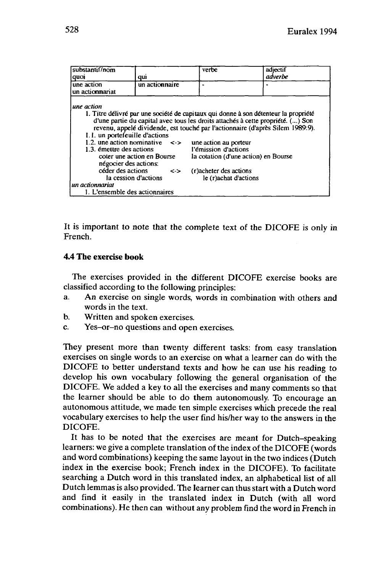| substantif/nom<br>quoj                                                                                                                                                      | qui                                                                                            | verbe                                                                                              | adjectif<br>adverbe                                                                                                                                                                                                                                                                              |
|-----------------------------------------------------------------------------------------------------------------------------------------------------------------------------|------------------------------------------------------------------------------------------------|----------------------------------------------------------------------------------------------------|--------------------------------------------------------------------------------------------------------------------------------------------------------------------------------------------------------------------------------------------------------------------------------------------------|
| une action<br>un actionnariat                                                                                                                                               | un actionnaire                                                                                 |                                                                                                    |                                                                                                                                                                                                                                                                                                  |
| une action<br>1.1. un portefeuille d'actions<br>1.3. émettre des actions<br>négocier des actions:<br>céder des actions<br>un actionnariat<br>1. L'ensemble des actionnaires | 1.2. une action nominative $\leq$<br>coter une action en Bourse<br><-><br>la cession d'actions | une action au porteur<br>l'émission d'actions<br>(r) acheter des actions<br>le (r) achat d'actions | 1. Titre délivré par une société de capitaux qui donne à son détenteur la propriété<br>d'une partie du capital avec tous les droits attachés à cette propriété. () Son<br>revenu, appelé dividende, est touché par l'actionnaire (d'après Silem 1989:9).<br>la cotation (d'une action) en Bourse |

It is important to note that the complete text of the DICOFE is only in French.

### **4.4 The exercise book**

The exercises provided in the different DICOFE exercise books are classified according to the following principles:

- a. An exercise on single words, words in combination with others and words in the text.
- b. Written and spoken exercises.
- c. Yes-or-no questions and open exercises.

They present more than twenty different tasks: from easy translation exercises on single words to an exercise on what a learner can do with the DICOFE to better understand texts and how he can use his reading to develop his own vocabulary following the general organisation of the DICOFE. We added a key to all the exercises and many comments so that the learner should be able to do them autonomously. To encourage an autonomous attitude, we made ten simple exercises which precede the real vocabulary exercises to help the user find his/her way to the answers in the DICOFE.

It has to be noted that the exercises are meant for Dutch-speaking learners: we give a complete translation of the index of the DICOFE (words and word combinations) keeping the same layout in the two indices (Dutch index in the exercise book; French index in the DICOFE). To facilitate searching a Dutch word in this translated index, an alphabetical list of all Dutch lemmas is also provided. The learner can thus start with a Dutch word and find it easily in the translated index in Dutch (with all word combinations). He then can without any problem find the word in French in